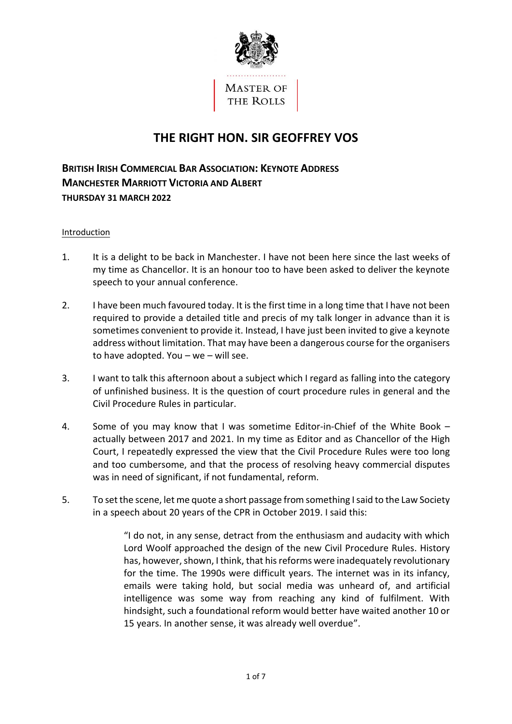

# **THE RIGHT HON. SIR GEOFFREY VOS**

**BRITISH IRISH COMMERCIAL BAR ASSOCIATION: KEYNOTE ADDRESS MANCHESTER MARRIOTT VICTORIA AND ALBERT THURSDAY 31 MARCH 2022** 

### Introduction

- 1. It is a delight to be back in Manchester. I have not been here since the last weeks of my time as Chancellor. It is an honour too to have been asked to deliver the keynote speech to your annual conference.
- 2. I have been much favoured today. It is the first time in a long time that I have not been required to provide a detailed title and precis of my talk longer in advance than it is sometimes convenient to provide it. Instead, I have just been invited to give a keynote address without limitation. That may have been a dangerous course for the organisers to have adopted. You – we – will see.
- 3. I want to talk this afternoon about a subject which I regard as falling into the category of unfinished business. It is the question of court procedure rules in general and the Civil Procedure Rules in particular.
- 4. Some of you may know that I was sometime Editor-in-Chief of the White Book actually between 2017 and 2021. In my time as Editor and as Chancellor of the High Court, I repeatedly expressed the view that the Civil Procedure Rules were too long and too cumbersome, and that the process of resolving heavy commercial disputes was in need of significant, if not fundamental, reform.
- 5. To set the scene, let me quote a short passage from something I said to the Law Society in a speech about 20 years of the CPR in October 2019. I said this:

"I do not, in any sense, detract from the enthusiasm and audacity with which Lord Woolf approached the design of the new Civil Procedure Rules. History has, however, shown, I think, that his reforms were inadequately revolutionary for the time. The 1990s were difficult years. The internet was in its infancy, emails were taking hold, but social media was unheard of, and artificial intelligence was some way from reaching any kind of fulfilment. With hindsight, such a foundational reform would better have waited another 10 or 15 years. In another sense, it was already well overdue".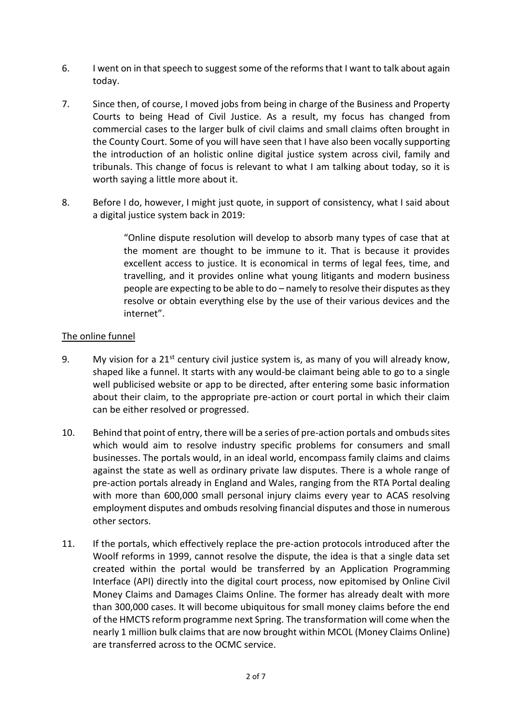- 6. I went on in that speech to suggest some of the reforms that I want to talk about again today.
- 7. Since then, of course, I moved jobs from being in charge of the Business and Property Courts to being Head of Civil Justice. As a result, my focus has changed from commercial cases to the larger bulk of civil claims and small claims often brought in the County Court. Some of you will have seen that I have also been vocally supporting the introduction of an holistic online digital justice system across civil, family and tribunals. This change of focus is relevant to what I am talking about today, so it is worth saying a little more about it.
- 8. Before I do, however, I might just quote, in support of consistency, what I said about a digital justice system back in 2019:

"Online dispute resolution will develop to absorb many types of case that at the moment are thought to be immune to it. That is because it provides excellent access to justice. It is economical in terms of legal fees, time, and travelling, and it provides online what young litigants and modern business people are expecting to be able to do – namely to resolve their disputes as they resolve or obtain everything else by the use of their various devices and the internet".

# The online funnel

- 9. My vision for a  $21^{st}$  century civil justice system is, as many of you will already know, shaped like a funnel. It starts with any would-be claimant being able to go to a single well publicised website or app to be directed, after entering some basic information about their claim, to the appropriate pre-action or court portal in which their claim can be either resolved or progressed.
- 10. Behind that point of entry, there will be a series of pre-action portals and ombuds sites which would aim to resolve industry specific problems for consumers and small businesses. The portals would, in an ideal world, encompass family claims and claims against the state as well as ordinary private law disputes. There is a whole range of pre-action portals already in England and Wales, ranging from the RTA Portal dealing with more than 600,000 small personal injury claims every year to ACAS resolving employment disputes and ombuds resolving financial disputes and those in numerous other sectors.
- 11. If the portals, which effectively replace the pre-action protocols introduced after the Woolf reforms in 1999, cannot resolve the dispute, the idea is that a single data set created within the portal would be transferred by an Application Programming Interface (API) directly into the digital court process, now epitomised by Online Civil Money Claims and Damages Claims Online. The former has already dealt with more than 300,000 cases. It will become ubiquitous for small money claims before the end of the HMCTS reform programme next Spring. The transformation will come when the nearly 1 million bulk claims that are now brought within MCOL (Money Claims Online) are transferred across to the OCMC service.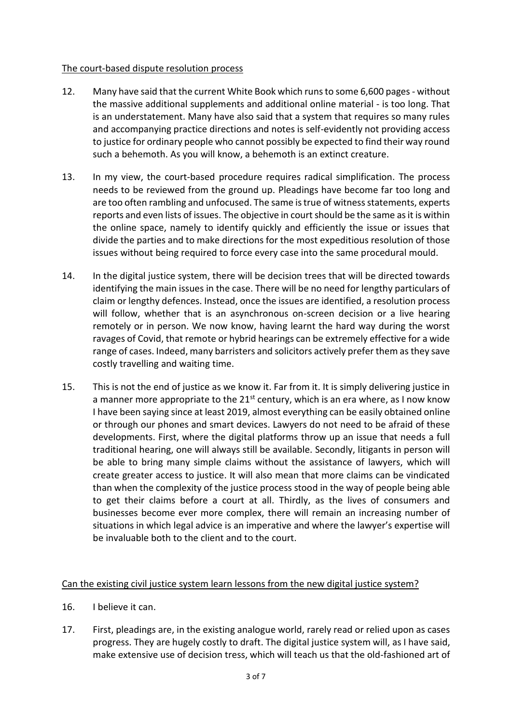## The court-based dispute resolution process

- 12. Many have said that the current White Book which runs to some 6,600 pages without the massive additional supplements and additional online material - is too long. That is an understatement. Many have also said that a system that requires so many rules and accompanying practice directions and notes is self-evidently not providing access to justice for ordinary people who cannot possibly be expected to find their way round such a behemoth. As you will know, a behemoth is an extinct creature.
- 13. In my view, the court-based procedure requires radical simplification. The process needs to be reviewed from the ground up. Pleadings have become far too long and are too often rambling and unfocused. The same is true of witness statements, experts reports and even lists of issues. The objective in court should be the same as it is within the online space, namely to identify quickly and efficiently the issue or issues that divide the parties and to make directions for the most expeditious resolution of those issues without being required to force every case into the same procedural mould.
- 14. In the digital justice system, there will be decision trees that will be directed towards identifying the main issues in the case. There will be no need for lengthy particulars of claim or lengthy defences. Instead, once the issues are identified, a resolution process will follow, whether that is an asynchronous on-screen decision or a live hearing remotely or in person. We now know, having learnt the hard way during the worst ravages of Covid, that remote or hybrid hearings can be extremely effective for a wide range of cases. Indeed, many barristers and solicitors actively prefer them as they save costly travelling and waiting time.
- 15. This is not the end of justice as we know it. Far from it. It is simply delivering justice in a manner more appropriate to the  $21^{st}$  century, which is an era where, as I now know I have been saying since at least 2019, almost everything can be easily obtained online or through our phones and smart devices. Lawyers do not need to be afraid of these developments. First, where the digital platforms throw up an issue that needs a full traditional hearing, one will always still be available. Secondly, litigants in person will be able to bring many simple claims without the assistance of lawyers, which will create greater access to justice. It will also mean that more claims can be vindicated than when the complexity of the justice process stood in the way of people being able to get their claims before a court at all. Thirdly, as the lives of consumers and businesses become ever more complex, there will remain an increasing number of situations in which legal advice is an imperative and where the lawyer's expertise will be invaluable both to the client and to the court.

# Can the existing civil justice system learn lessons from the new digital justice system?

- 16. I believe it can.
- 17. First, pleadings are, in the existing analogue world, rarely read or relied upon as cases progress. They are hugely costly to draft. The digital justice system will, as I have said, make extensive use of decision tress, which will teach us that the old-fashioned art of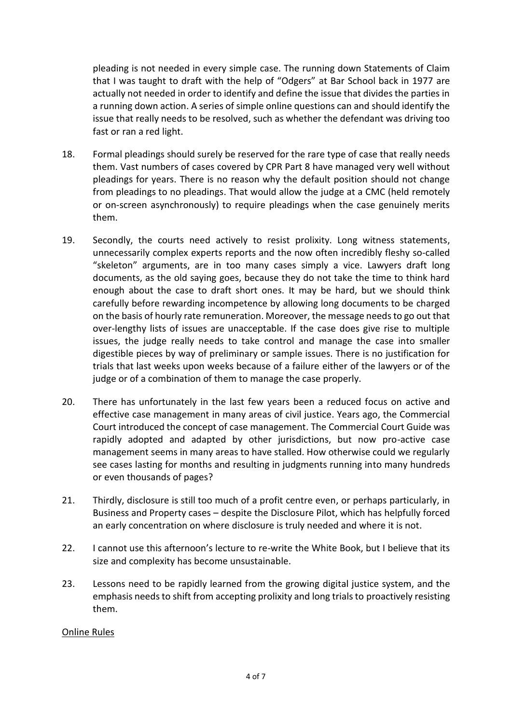pleading is not needed in every simple case. The running down Statements of Claim that I was taught to draft with the help of "Odgers" at Bar School back in 1977 are actually not needed in order to identify and define the issue that divides the parties in a running down action. A series of simple online questions can and should identify the issue that really needs to be resolved, such as whether the defendant was driving too fast or ran a red light.

- 18. Formal pleadings should surely be reserved for the rare type of case that really needs them. Vast numbers of cases covered by CPR Part 8 have managed very well without pleadings for years. There is no reason why the default position should not change from pleadings to no pleadings. That would allow the judge at a CMC (held remotely or on-screen asynchronously) to require pleadings when the case genuinely merits them.
- 19. Secondly, the courts need actively to resist prolixity. Long witness statements, unnecessarily complex experts reports and the now often incredibly fleshy so-called "skeleton" arguments, are in too many cases simply a vice. Lawyers draft long documents, as the old saying goes, because they do not take the time to think hard enough about the case to draft short ones. It may be hard, but we should think carefully before rewarding incompetence by allowing long documents to be charged on the basis of hourly rate remuneration. Moreover, the message needs to go out that over-lengthy lists of issues are unacceptable. If the case does give rise to multiple issues, the judge really needs to take control and manage the case into smaller digestible pieces by way of preliminary or sample issues. There is no justification for trials that last weeks upon weeks because of a failure either of the lawyers or of the judge or of a combination of them to manage the case properly.
- 20. There has unfortunately in the last few years been a reduced focus on active and effective case management in many areas of civil justice. Years ago, the Commercial Court introduced the concept of case management. The Commercial Court Guide was rapidly adopted and adapted by other jurisdictions, but now pro-active case management seems in many areas to have stalled. How otherwise could we regularly see cases lasting for months and resulting in judgments running into many hundreds or even thousands of pages?
- 21. Thirdly, disclosure is still too much of a profit centre even, or perhaps particularly, in Business and Property cases – despite the Disclosure Pilot, which has helpfully forced an early concentration on where disclosure is truly needed and where it is not.
- 22. I cannot use this afternoon's lecture to re-write the White Book, but I believe that its size and complexity has become unsustainable.
- 23. Lessons need to be rapidly learned from the growing digital justice system, and the emphasis needs to shift from accepting prolixity and long trials to proactively resisting them.

### Online Rules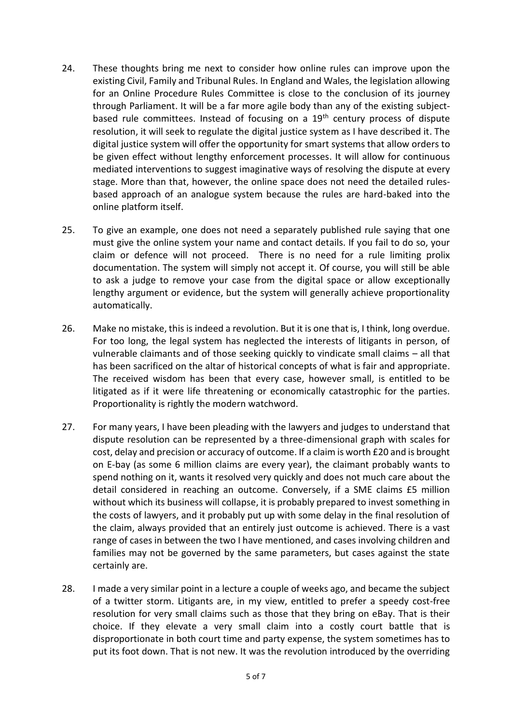- 24. These thoughts bring me next to consider how online rules can improve upon the existing Civil, Family and Tribunal Rules. In England and Wales, the legislation allowing for an Online Procedure Rules Committee is close to the conclusion of its journey through Parliament. It will be a far more agile body than any of the existing subjectbased rule committees. Instead of focusing on a 19<sup>th</sup> century process of dispute resolution, it will seek to regulate the digital justice system as I have described it. The digital justice system will offer the opportunity for smart systems that allow orders to be given effect without lengthy enforcement processes. It will allow for continuous mediated interventions to suggest imaginative ways of resolving the dispute at every stage. More than that, however, the online space does not need the detailed rulesbased approach of an analogue system because the rules are hard-baked into the online platform itself.
- 25. To give an example, one does not need a separately published rule saying that one must give the online system your name and contact details. If you fail to do so, your claim or defence will not proceed. There is no need for a rule limiting prolix documentation. The system will simply not accept it. Of course, you will still be able to ask a judge to remove your case from the digital space or allow exceptionally lengthy argument or evidence, but the system will generally achieve proportionality automatically.
- 26. Make no mistake, this is indeed a revolution. But it is one that is, I think, long overdue. For too long, the legal system has neglected the interests of litigants in person, of vulnerable claimants and of those seeking quickly to vindicate small claims – all that has been sacrificed on the altar of historical concepts of what is fair and appropriate. The received wisdom has been that every case, however small, is entitled to be litigated as if it were life threatening or economically catastrophic for the parties. Proportionality is rightly the modern watchword.
- 27. For many years, I have been pleading with the lawyers and judges to understand that dispute resolution can be represented by a three-dimensional graph with scales for cost, delay and precision or accuracy of outcome. If a claim is worth £20 and is brought on E-bay (as some 6 million claims are every year), the claimant probably wants to spend nothing on it, wants it resolved very quickly and does not much care about the detail considered in reaching an outcome. Conversely, if a SME claims £5 million without which its business will collapse, it is probably prepared to invest something in the costs of lawyers, and it probably put up with some delay in the final resolution of the claim, always provided that an entirely just outcome is achieved. There is a vast range of cases in between the two I have mentioned, and cases involving children and families may not be governed by the same parameters, but cases against the state certainly are.
- 28. I made a very similar point in a lecture a couple of weeks ago, and became the subject of a twitter storm. Litigants are, in my view, entitled to prefer a speedy cost-free resolution for very small claims such as those that they bring on eBay. That is their choice. If they elevate a very small claim into a costly court battle that is disproportionate in both court time and party expense, the system sometimes has to put its foot down. That is not new. It was the revolution introduced by the overriding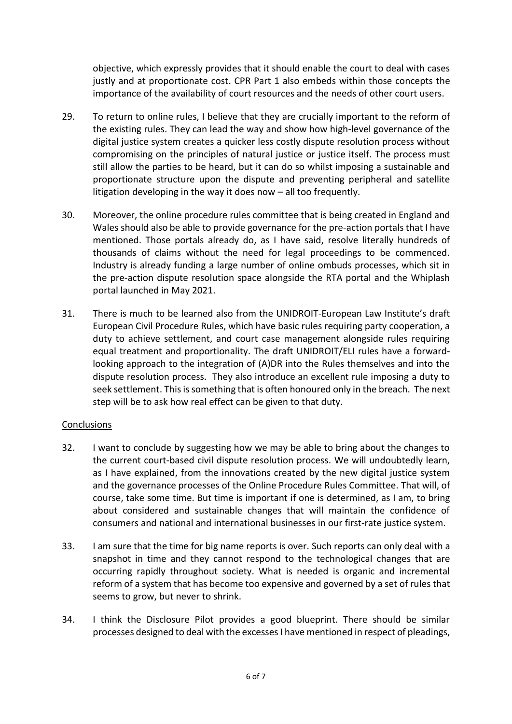objective, which expressly provides that it should enable the court to deal with cases justly and at proportionate cost. CPR Part 1 also embeds within those concepts the importance of the availability of court resources and the needs of other court users.

- 29. To return to online rules, I believe that they are crucially important to the reform of the existing rules. They can lead the way and show how high-level governance of the digital justice system creates a quicker less costly dispute resolution process without compromising on the principles of natural justice or justice itself. The process must still allow the parties to be heard, but it can do so whilst imposing a sustainable and proportionate structure upon the dispute and preventing peripheral and satellite litigation developing in the way it does now – all too frequently.
- 30. Moreover, the online procedure rules committee that is being created in England and Wales should also be able to provide governance for the pre-action portals that I have mentioned. Those portals already do, as I have said, resolve literally hundreds of thousands of claims without the need for legal proceedings to be commenced. Industry is already funding a large number of online ombuds processes, which sit in the pre-action dispute resolution space alongside the RTA portal and the Whiplash portal launched in May 2021.
- 31. There is much to be learned also from the UNIDROIT-European Law Institute's draft European Civil Procedure Rules, which have basic rules requiring party cooperation, a duty to achieve settlement, and court case management alongside rules requiring equal treatment and proportionality. The draft UNIDROIT/ELI rules have a forwardlooking approach to the integration of (A)DR into the Rules themselves and into the dispute resolution process. They also introduce an excellent rule imposing a duty to seek settlement. This is something that is often honoured only in the breach. The next step will be to ask how real effect can be given to that duty.

# **Conclusions**

- 32. I want to conclude by suggesting how we may be able to bring about the changes to the current court-based civil dispute resolution process. We will undoubtedly learn, as I have explained, from the innovations created by the new digital justice system and the governance processes of the Online Procedure Rules Committee. That will, of course, take some time. But time is important if one is determined, as I am, to bring about considered and sustainable changes that will maintain the confidence of consumers and national and international businesses in our first-rate justice system.
- 33. I am sure that the time for big name reports is over. Such reports can only deal with a snapshot in time and they cannot respond to the technological changes that are occurring rapidly throughout society. What is needed is organic and incremental reform of a system that has become too expensive and governed by a set of rules that seems to grow, but never to shrink.
- 34. I think the Disclosure Pilot provides a good blueprint. There should be similar processes designed to deal with the excesses I have mentioned in respect of pleadings,